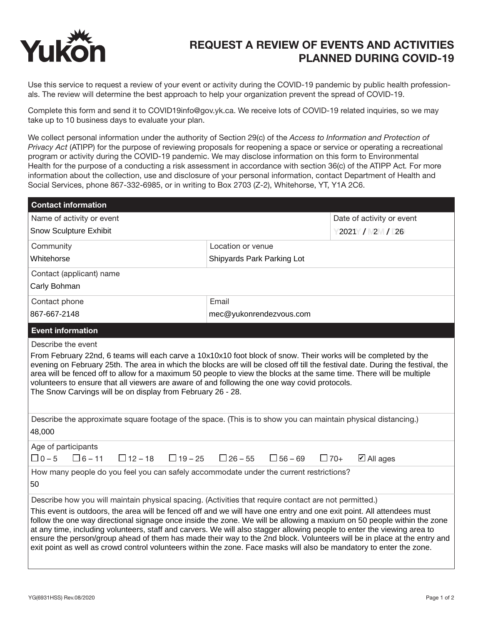

## REQUEST A REVIEW OF EVENTS AND ACTIVITIES PLANNED DURING COVID-19

Use this service to request a review of your event or activity during the COVID-19 pandemic by public health professionals. The review will determine the best approach to help your organization prevent the spread of COVID-19.

Complete this form and send it to COVID19info@gov.yk.ca. We receive lots of COVID-19 related inquiries, so we may take up to 10 business days to evaluate your plan.

We collect personal information under the authority of Section 29(c) of the *Access to Information and Protection of Privacy Act* (ATIPP) for the purpose of reviewing proposals for reopening a space or service or operating a recreational program or activity during the COVID-19 pandemic. We may disclose information on this form to Environmental Health for the purpose of a conducting a risk assessment in accordance with section 36(c) of the ATIPP Act*.* For more information about the collection, use and disclosure of your personal information, contact Department of Health and Social Services, phone 867-332-6985, or in writing to Box 2703 (Z-2), Whitehorse, YT, Y1A 2C6.

| <b>Contact information</b>                                                                                                                                                                                                                                                                                                                                                                                                                                                                                                                                                                                                                                                                                                             |                                  |                                    |
|----------------------------------------------------------------------------------------------------------------------------------------------------------------------------------------------------------------------------------------------------------------------------------------------------------------------------------------------------------------------------------------------------------------------------------------------------------------------------------------------------------------------------------------------------------------------------------------------------------------------------------------------------------------------------------------------------------------------------------------|----------------------------------|------------------------------------|
| Name of activity or event                                                                                                                                                                                                                                                                                                                                                                                                                                                                                                                                                                                                                                                                                                              |                                  | Date of activity or event          |
| <b>Snow Sculpture Exhibit</b>                                                                                                                                                                                                                                                                                                                                                                                                                                                                                                                                                                                                                                                                                                          |                                  | $2021$ / $2$ / $2$                 |
| Community                                                                                                                                                                                                                                                                                                                                                                                                                                                                                                                                                                                                                                                                                                                              | Location or venue                |                                    |
| Whitehorse                                                                                                                                                                                                                                                                                                                                                                                                                                                                                                                                                                                                                                                                                                                             | Shipyards Park Parking Lot       |                                    |
| Contact (applicant) name                                                                                                                                                                                                                                                                                                                                                                                                                                                                                                                                                                                                                                                                                                               |                                  |                                    |
| Carly Bohman                                                                                                                                                                                                                                                                                                                                                                                                                                                                                                                                                                                                                                                                                                                           |                                  |                                    |
| Contact phone                                                                                                                                                                                                                                                                                                                                                                                                                                                                                                                                                                                                                                                                                                                          | Email                            |                                    |
| 867-667-2148                                                                                                                                                                                                                                                                                                                                                                                                                                                                                                                                                                                                                                                                                                                           | mec@yukonrendezvous.com          |                                    |
| <b>Event information</b>                                                                                                                                                                                                                                                                                                                                                                                                                                                                                                                                                                                                                                                                                                               |                                  |                                    |
| Describe the event                                                                                                                                                                                                                                                                                                                                                                                                                                                                                                                                                                                                                                                                                                                     |                                  |                                    |
| From February 22nd, 6 teams will each carve a 10x10x10 foot block of snow. Their works will be completed by the<br>evening on February 25th. The area in which the blocks are will be closed off till the festival date. During the festival, the<br>area will be fenced off to allow for a maximum 50 people to view the blocks at the same time. There will be multiple<br>volunteers to ensure that all viewers are aware of and following the one way covid protocols.<br>The Snow Carvings will be on display from February 26 - 28.                                                                                                                                                                                              |                                  |                                    |
| Describe the approximate square footage of the space. (This is to show you can maintain physical distancing.)<br>48,000                                                                                                                                                                                                                                                                                                                                                                                                                                                                                                                                                                                                                |                                  |                                    |
| Age of participants<br>$\Box$ 0 – 5<br>$\Box$ 12 – 18<br>$\Box$ 19 – 25<br>$\Box$ 6 – 11                                                                                                                                                                                                                                                                                                                                                                                                                                                                                                                                                                                                                                               | $\Box$ 26 – 55<br>$\Box$ 56 – 69 | $\Box$ 70+<br>$\boxtimes$ All ages |
| How many people do you feel you can safely accommodate under the current restrictions?<br>50                                                                                                                                                                                                                                                                                                                                                                                                                                                                                                                                                                                                                                           |                                  |                                    |
| Describe how you will maintain physical spacing. (Activities that require contact are not permitted.)<br>This event is outdoors, the area will be fenced off and we will have one entry and one exit point. All attendees must<br>follow the one way directional signage once inside the zone. We will be allowing a maxium on 50 people within the zone<br>at any time, including volunteers, staff and carvers. We will also stagger allowing people to enter the viewing area to<br>ensure the person/group ahead of them has made their way to the 2nd block. Volunteers will be in place at the entry and<br>exit point as well as crowd control volunteers within the zone. Face masks will also be mandatory to enter the zone. |                                  |                                    |